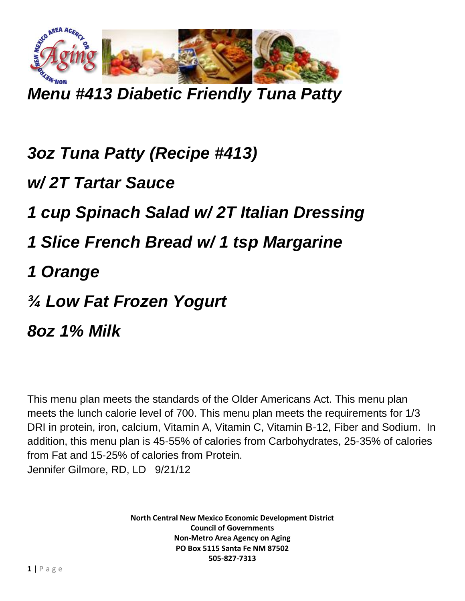

*Menu #413 Diabetic Friendly Tuna Patty*

*3oz Tuna Patty (Recipe #413) w/ 2T Tartar Sauce 1 cup Spinach Salad w/ 2T Italian Dressing 1 Slice French Bread w/ 1 tsp Margarine 1 Orange ¾ Low Fat Frozen Yogurt 8oz 1% Milk*

This menu plan meets the standards of the Older Americans Act. This menu plan meets the lunch calorie level of 700. This menu plan meets the requirements for 1/3 DRI in protein, iron, calcium, Vitamin A, Vitamin C, Vitamin B-12, Fiber and Sodium. In addition, this menu plan is 45-55% of calories from Carbohydrates, 25-35% of calories from Fat and 15-25% of calories from Protein. Jennifer Gilmore, RD, LD 9/21/12

> **North Central New Mexico Economic Development District Council of Governments Non-Metro Area Agency on Aging PO Box 5115 Santa Fe NM 87502 505-827-7313**